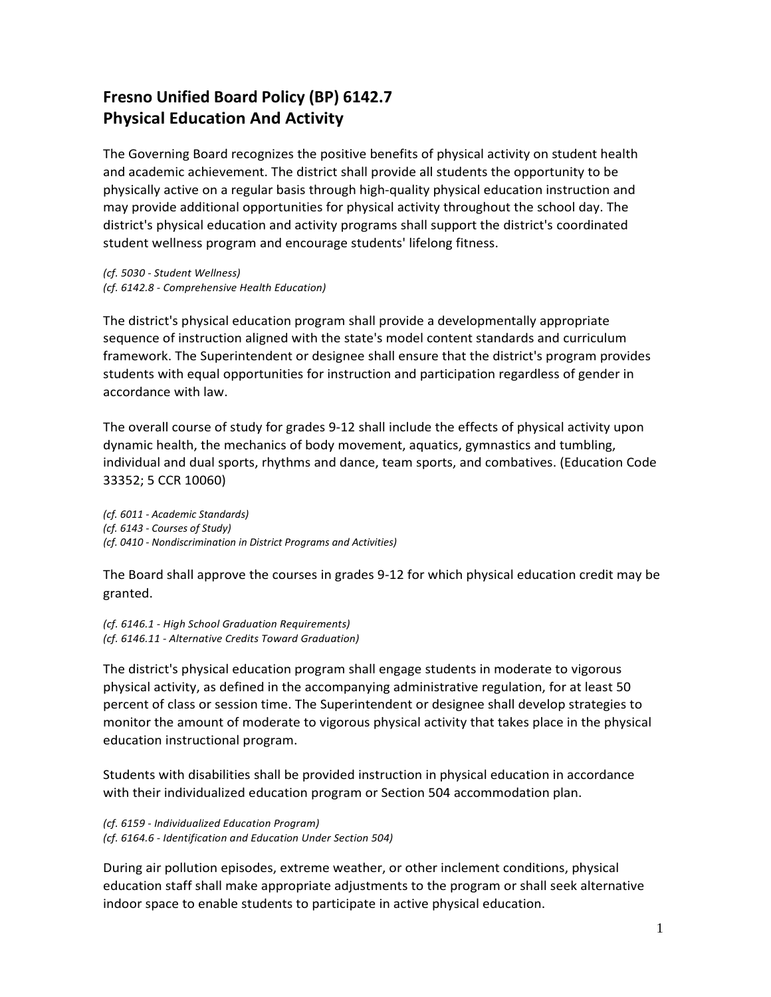# **Fresno Unified Board Policy (BP) 6142.7 Physical Education And Activity**

The Governing Board recognizes the positive benefits of physical activity on student health and academic achievement. The district shall provide all students the opportunity to be physically active on a regular basis through high-quality physical education instruction and may provide additional opportunities for physical activity throughout the school day. The district's physical education and activity programs shall support the district's coordinated student wellness program and encourage students' lifelong fitness.

*(cf. 5030 - Student Wellness) (cf. 6142.8 - Comprehensive Health Education)*

The district's physical education program shall provide a developmentally appropriate sequence of instruction aligned with the state's model content standards and curriculum framework. The Superintendent or designee shall ensure that the district's program provides students with equal opportunities for instruction and participation regardless of gender in accordance with law.

The overall course of study for grades 9-12 shall include the effects of physical activity upon dynamic health, the mechanics of body movement, aquatics, gymnastics and tumbling, individual and dual sports, rhythms and dance, team sports, and combatives. (Education Code 33352; 5 CCR 10060)

*(cf. 6011 - Academic Standards) (cf. 6143 - Courses of Study) (cf. 0410 - Nondiscrimination in District Programs and Activities)*

The Board shall approve the courses in grades 9-12 for which physical education credit may be granted.

*(cf. 6146.1 - High School Graduation Requirements) (cf. 6146.11 - Alternative Credits Toward Graduation)*

The district's physical education program shall engage students in moderate to vigorous physical activity, as defined in the accompanying administrative regulation, for at least 50 percent of class or session time. The Superintendent or designee shall develop strategies to monitor the amount of moderate to vigorous physical activity that takes place in the physical education instructional program.

Students with disabilities shall be provided instruction in physical education in accordance with their individualized education program or Section 504 accommodation plan.

*(cf. 6159 - Individualized Education Program) (cf. 6164.6 - Identification and Education Under Section 504)*

During air pollution episodes, extreme weather, or other inclement conditions, physical education staff shall make appropriate adjustments to the program or shall seek alternative indoor space to enable students to participate in active physical education.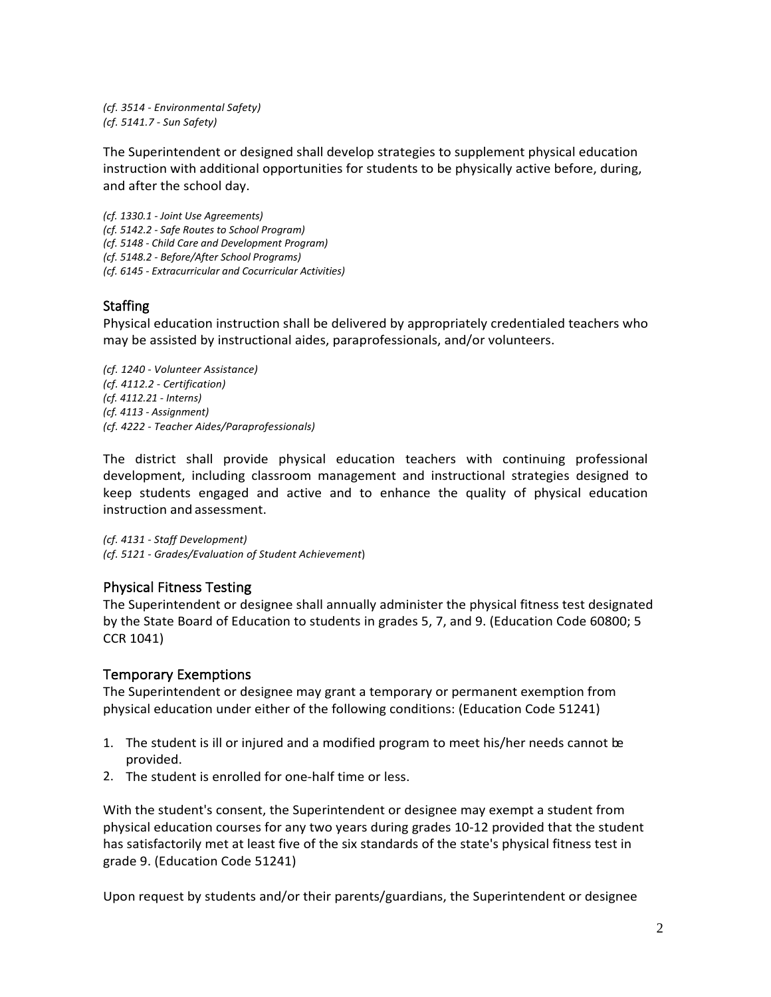*(cf. 3514 - Environmental Safety) (cf. 5141.7 - Sun Safety)*

The Superintendent or designed shall develop strategies to supplement physical education instruction with additional opportunities for students to be physically active before, during, and after the school day.

*(cf. 1330.1 - Joint Use Agreements) (cf. 5142.2 - Safe Routes to School Program) (cf. 5148 - Child Care and Development Program) (cf. 5148.2 - Before/After School Programs) (cf. 6145 - Extracurricular and Cocurricular Activities)*

## **Staffing**

Physical education instruction shall be delivered by appropriately credentialed teachers who may be assisted by instructional aides, paraprofessionals, and/or volunteers.

*(cf. 1240 - Volunteer Assistance) (cf. 4112.2 - Certification) (cf. 4112.21 - Interns) (cf. 4113 - Assignment) (cf. 4222 - Teacher Aides/Paraprofessionals)*

The district shall provide physical education teachers with continuing professional development, including classroom management and instructional strategies designed to keep students engaged and active and to enhance the quality of physical education instruction and assessment.

*(cf. 4131 - Staff Development) (cf. 5121 - Grades/Evaluation of Student Achievement*)

## Physical Fitness Testing

The Superintendent or designee shall annually administer the physical fitness test designated by the State Board of Education to students in grades 5, 7, and 9. (Education Code 60800; 5 CCR 1041)

## Temporary Exemptions

The Superintendent or designee may grant a temporary or permanent exemption from physical education under either of the following conditions: (Education Code 51241)

- 1. The student is ill or injured and a modified program to meet his/her needs cannot be provided.
- 2. The student is enrolled for one-half time or less.

With the student's consent, the Superintendent or designee may exempt a student from physical education courses for any two years during grades 10-12 provided that the student has satisfactorily met at least five of the six standards of the state's physical fitness test in grade 9. (Education Code 51241)

Upon request by students and/or their parents/guardians, the Superintendent or designee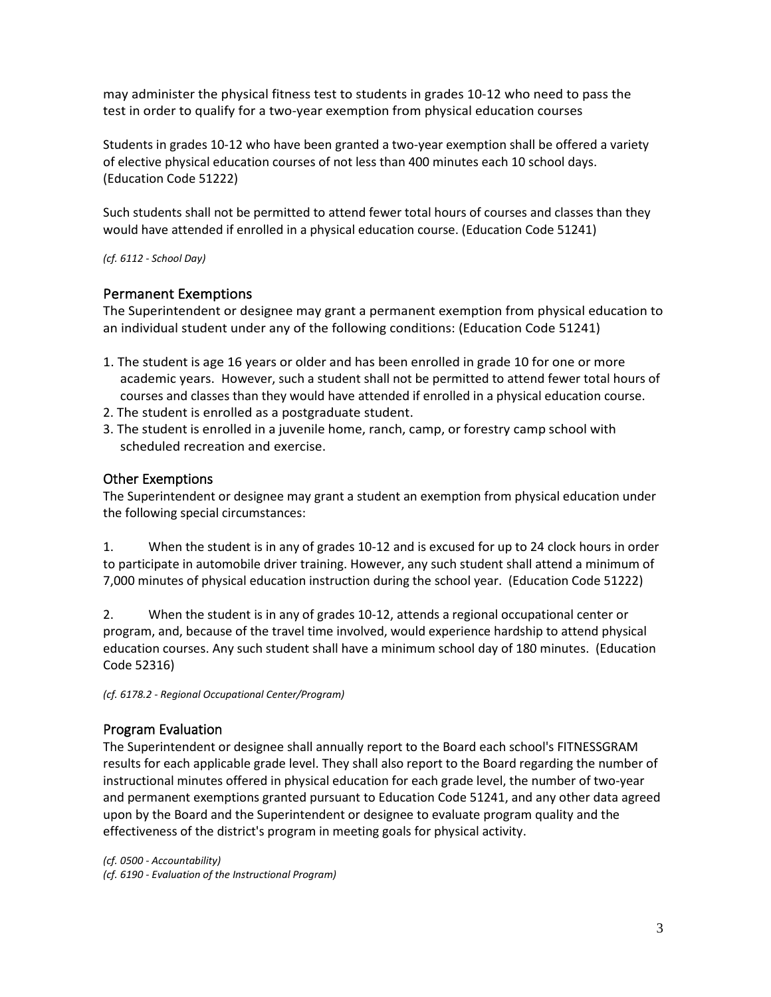may administer the physical fitness test to students in grades 10-12 who need to pass the test in order to qualify for a two-year exemption from physical education courses

Students in grades 10-12 who have been granted a two-year exemption shall be offered a variety of elective physical education courses of not less than 400 minutes each 10 school days. (Education Code 51222)

Such students shall not be permitted to attend fewer total hours of courses and classes than they would have attended if enrolled in a physical education course. (Education Code 51241)

*(cf. 6112 - School Day)*

#### Permanent Exemptions

The Superintendent or designee may grant a permanent exemption from physical education to an individual student under any of the following conditions: (Education Code 51241)

- 1. The student is age 16 years or older and has been enrolled in grade 10 for one or more academic years. However, such a student shall not be permitted to attend fewer total hours of courses and classes than they would have attended if enrolled in a physical education course.
- 2. The student is enrolled as a postgraduate student.
- 3. The student is enrolled in a juvenile home, ranch, camp, or forestry camp school with scheduled recreation and exercise.

#### Other Exemptions

The Superintendent or designee may grant a student an exemption from physical education under the following special circumstances:

1. When the student is in any of grades 10-12 and is excused for up to 24 clock hours in order to participate in automobile driver training. However, any such student shall attend a minimum of 7,000 minutes of physical education instruction during the school year. (Education Code 51222)

2. When the student is in any of grades 10-12, attends a regional occupational center or program, and, because of the travel time involved, would experience hardship to attend physical education courses. Any such student shall have a minimum school day of 180 minutes. (Education Code 52316)

*(cf. 6178.2 - Regional Occupational Center/Program)*

#### Program Evaluation

The Superintendent or designee shall annually report to the Board each school's FITNESSGRAM results for each applicable grade level. They shall also report to the Board regarding the number of instructional minutes offered in physical education for each grade level, the number of two-year and permanent exemptions granted pursuant to Education Code [51241,](http://www.gamutonline.net/displayPolicy/132686/6) and any other data agreed upon by the Board and the Superintendent or designee to evaluate program quality and the effectiveness of the district's program in meeting goals for physical activity.

*(cf. [0500](http://www.gamutonline.net/displayPolicy/171712/6) - Accountability) (cf. [6190](http://www.gamutonline.net/displayPolicy/259635/6) - Evaluation of the Instructional Program)*